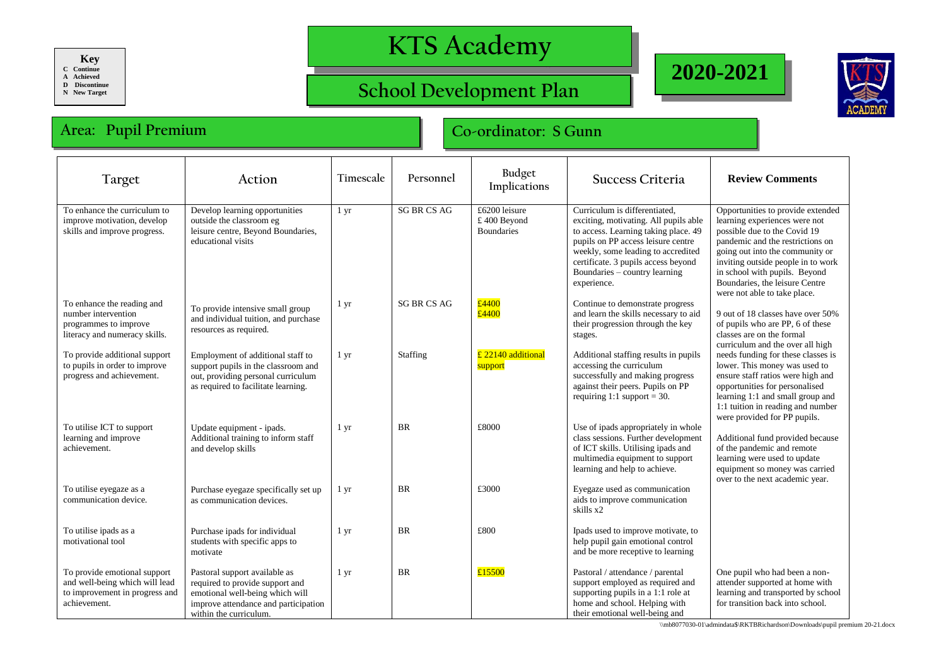**Key C Continue A Achieved**

**D Discontinue**

**N New Target**

## **KTS Academy**

## **School Development Plan**





## **Area: Pupil Premium Co-ordinator: S Gunn**

| Target                                                                                                           | Action                                                                                                                                                                | Timescale        | Personnel          | Budget<br>Implications                            | Success Criteria                                                                                                                                                                                                                                                                  | <b>Review Comments</b>                                                                                                                                                                                                                                                                                             |
|------------------------------------------------------------------------------------------------------------------|-----------------------------------------------------------------------------------------------------------------------------------------------------------------------|------------------|--------------------|---------------------------------------------------|-----------------------------------------------------------------------------------------------------------------------------------------------------------------------------------------------------------------------------------------------------------------------------------|--------------------------------------------------------------------------------------------------------------------------------------------------------------------------------------------------------------------------------------------------------------------------------------------------------------------|
| To enhance the curriculum to<br>improve motivation, develop<br>skills and improve progress.                      | Develop learning opportunities<br>outside the classroom eg<br>leisure centre, Beyond Boundaries,<br>educational visits                                                | $1 \, yr$        | <b>SG BR CS AG</b> | £6200 leisure<br>£400 Beyond<br><b>Boundaries</b> | Curriculum is differentiated,<br>exciting, motivating. All pupils able<br>to access. Learning taking place. 49<br>pupils on PP access leisure centre<br>weekly, some leading to accredited<br>certificate. 3 pupils access beyond<br>Boundaries - country learning<br>experience. | Opportunities to provide extended<br>learning experiences were not<br>possible due to the Covid 19<br>pandemic and the restrictions on<br>going out into the community or<br>inviting outside people in to work<br>in school with pupils. Beyond<br>Boundaries, the leisure Centre<br>were not able to take place. |
| To enhance the reading and<br>number intervention<br>programmes to improve<br>literacy and numeracy skills.      | To provide intensive small group<br>and individual tuition, and purchase<br>resources as required.                                                                    | 1 yr             | <b>SG BR CS AG</b> | £4400<br>£4400                                    | Continue to demonstrate progress<br>and learn the skills necessary to aid<br>their progression through the key<br>stages.                                                                                                                                                         | 9 out of 18 classes have over 50%<br>of pupils who are PP, 6 of these<br>classes are on the formal<br>curriculum and the over all high                                                                                                                                                                             |
| To provide additional support<br>to pupils in order to improve<br>progress and achievement.                      | Employment of additional staff to<br>support pupils in the classroom and<br>out, providing personal curriculum<br>as required to facilitate learning.                 | $1 \, \text{yr}$ | Staffing           | £ 22140 additional<br>support                     | Additional staffing results in pupils<br>accessing the curriculum<br>successfully and making progress<br>against their peers. Pupils on PP<br>requiring 1:1 support = $30$ .                                                                                                      | needs funding for these classes is<br>lower. This money was used to<br>ensure staff ratios were high and<br>opportunities for personalised<br>learning 1:1 and small group and<br>1:1 tuition in reading and number<br>were provided for PP pupils.                                                                |
| To utilise ICT to support<br>learning and improve<br>achievement.                                                | Update equipment - ipads.<br>Additional training to inform staff<br>and develop skills                                                                                | 1 yr             | <b>BR</b>          | £8000                                             | Use of ipads appropriately in whole<br>class sessions. Further development<br>of ICT skills. Utilising ipads and<br>multimedia equipment to support<br>learning and help to achieve.                                                                                              | Additional fund provided because<br>of the pandemic and remote<br>learning were used to update<br>equipment so money was carried<br>over to the next academic year.                                                                                                                                                |
| To utilise eyegaze as a<br>communication device.                                                                 | Purchase eyegaze specifically set up<br>as communication devices.                                                                                                     | 1 <sub>yr</sub>  | <b>BR</b>          | £3000                                             | Eyegaze used as communication<br>aids to improve communication<br>skills x2                                                                                                                                                                                                       |                                                                                                                                                                                                                                                                                                                    |
| To utilise ipads as a<br>motivational tool                                                                       | Purchase ipads for individual<br>students with specific apps to<br>motivate                                                                                           | 1 yr             | <b>BR</b>          | £800                                              | Ipads used to improve motivate, to<br>help pupil gain emotional control<br>and be more receptive to learning                                                                                                                                                                      |                                                                                                                                                                                                                                                                                                                    |
| To provide emotional support<br>and well-being which will lead<br>to improvement in progress and<br>achievement. | Pastoral support available as<br>required to provide support and<br>emotional well-being which will<br>improve attendance and participation<br>within the curriculum. | $1 \, yr$        | <b>BR</b>          | £15500                                            | Pastoral / attendance / parental<br>support employed as required and<br>supporting pupils in a 1:1 role at<br>home and school. Helping with<br>their emotional well-being and                                                                                                     | One pupil who had been a non-<br>attender supported at home with<br>learning and transported by school<br>for transition back into school.                                                                                                                                                                         |

\\mb8077030-01\admindata\$\RKTBRichardson\Downloads\pupil premium 20-21.docx